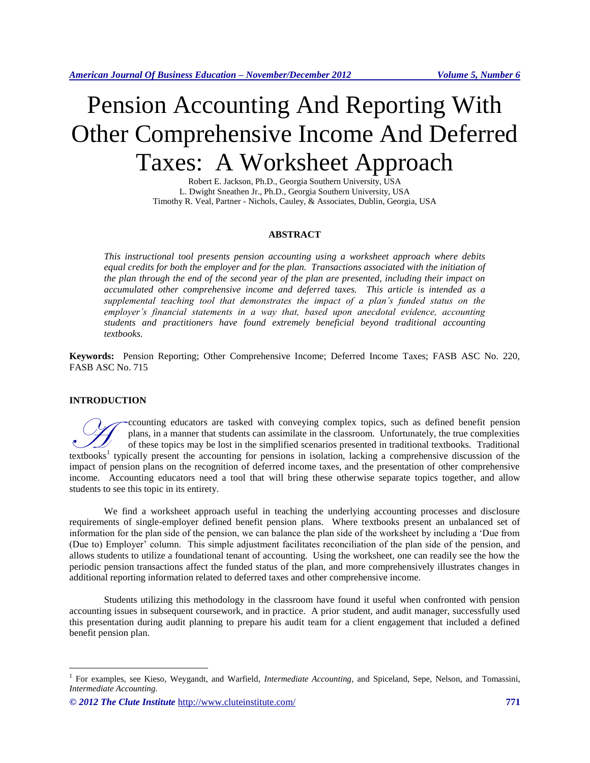# Pension Accounting And Reporting With Other Comprehensive Income And Deferred Taxes: A Worksheet Approach

Robert E. Jackson, Ph.D., Georgia Southern University, USA L. Dwight Sneathen Jr., Ph.D., Georgia Southern University, USA Timothy R. Veal, Partner - Nichols, Cauley, & Associates, Dublin, Georgia, USA

# **ABSTRACT**

*This instructional tool presents pension accounting using a worksheet approach where debits equal credits for both the employer and for the plan. Transactions associated with the initiation of the plan through the end of the second year of the plan are presented, including their impact on accumulated other comprehensive income and deferred taxes. This article is intended as a supplemental teaching tool that demonstrates the impact of a plan's funded status on the employer's financial statements in a way that, based upon anecdotal evidence, accounting students and practitioners have found extremely beneficial beyond traditional accounting textbooks.* 

**Keywords:** Pension Reporting; Other Comprehensive Income; Deferred Income Taxes; FASB ASC No. 220, FASB ASC No. 715

# **INTRODUCTION**

 $\overline{a}$ 

ccounting educators are tasked with conveying complex topics, such as defined benefit pension plans, in a manner that students can assimilate in the classroom. Unfortunately, the true complexities of these topics may be lost in the simplified scenarios presented in traditional textbooks. Traditional Counting educators are tasked with conveying complex topics, such as defined benefit pension plans, in a manner that students can assimilate in the classroom. Unfortunately, the true complexities of these topics may be los impact of pension plans on the recognition of deferred income taxes, and the presentation of other comprehensive income. Accounting educators need a tool that will bring these otherwise separate topics together, and allow students to see this topic in its entirety.

We find a worksheet approach useful in teaching the underlying accounting processes and disclosure requirements of single-employer defined benefit pension plans. Where textbooks present an unbalanced set of information for the plan side of the pension, we can balance the plan side of the worksheet by including a 'Due from (Due to) Employer' column. This simple adjustment facilitates reconciliation of the plan side of the pension, and allows students to utilize a foundational tenant of accounting. Using the worksheet, one can readily see the how the periodic pension transactions affect the funded status of the plan, and more comprehensively illustrates changes in additional reporting information related to deferred taxes and other comprehensive income.

Students utilizing this methodology in the classroom have found it useful when confronted with pension accounting issues in subsequent coursework, and in practice. A prior student, and audit manager, successfully used this presentation during audit planning to prepare his audit team for a client engagement that included a defined benefit pension plan.

<sup>&</sup>lt;sup>1</sup> For examples, see Kieso, Weygandt, and Warfield, *Intermediate Accounting*, and Spiceland, Sepe, Nelson, and Tomassini, *Intermediate Accounting*.

*<sup>© 2012</sup> The Clute Institute* http://www.cluteinstitute.com/ **771**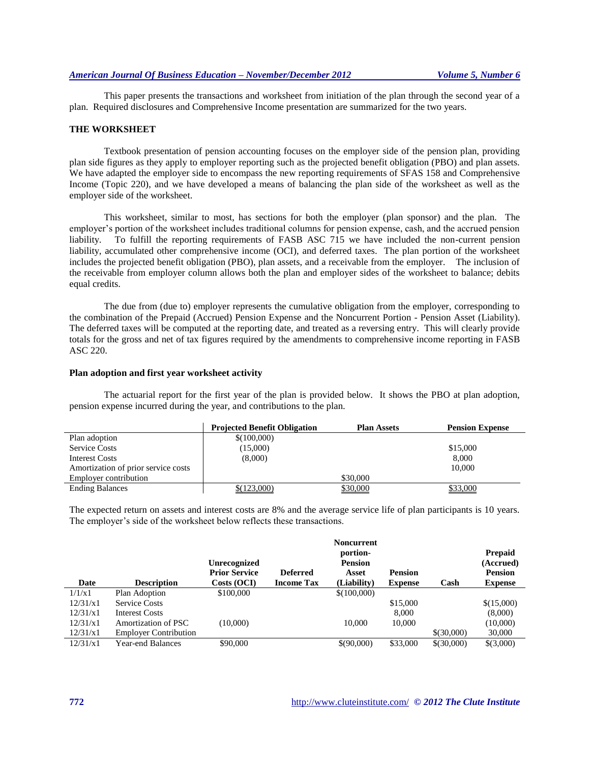This paper presents the transactions and worksheet from initiation of the plan through the second year of a plan. Required disclosures and Comprehensive Income presentation are summarized for the two years.

#### **THE WORKSHEET**

Textbook presentation of pension accounting focuses on the employer side of the pension plan, providing plan side figures as they apply to employer reporting such as the projected benefit obligation (PBO) and plan assets. We have adapted the employer side to encompass the new reporting requirements of SFAS 158 and Comprehensive Income (Topic 220), and we have developed a means of balancing the plan side of the worksheet as well as the employer side of the worksheet.

This worksheet, similar to most, has sections for both the employer (plan sponsor) and the plan. The employer's portion of the worksheet includes traditional columns for pension expense, cash, and the accrued pension liability. To fulfill the reporting requirements of FASB ASC 715 we have included the non-current pension liability, accumulated other comprehensive income (OCI), and deferred taxes. The plan portion of the worksheet includes the projected benefit obligation (PBO), plan assets, and a receivable from the employer. The inclusion of the receivable from employer column allows both the plan and employer sides of the worksheet to balance; debits equal credits.

The due from (due to) employer represents the cumulative obligation from the employer, corresponding to the combination of the Prepaid (Accrued) Pension Expense and the Noncurrent Portion - Pension Asset (Liability). The deferred taxes will be computed at the reporting date, and treated as a reversing entry. This will clearly provide totals for the gross and net of tax figures required by the amendments to comprehensive income reporting in FASB ASC 220.

#### **Plan adoption and first year worksheet activity**

The actuarial report for the first year of the plan is provided below. It shows the PBO at plan adoption, pension expense incurred during the year, and contributions to the plan.

|                                     | <b>Projected Benefit Obligation</b> | <b>Plan Assets</b> | <b>Pension Expense</b> |
|-------------------------------------|-------------------------------------|--------------------|------------------------|
| Plan adoption                       | \$(100,000)                         |                    |                        |
| <b>Service Costs</b>                | (15,000)                            |                    | \$15,000               |
| Interest Costs                      | (8,000)                             |                    | 8.000                  |
| Amortization of prior service costs |                                     |                    | 10,000                 |
| <b>Employer contribution</b>        |                                     | \$30,000           |                        |
| <b>Ending Balances</b>              | \$(123,000)                         | \$30,000           | \$33,000               |

The expected return on assets and interest costs are 8% and the average service life of plan participants is 10 years. The employer's side of the worksheet below reflects these transactions.

|          |                              |                      |                   | <b>Noncurrent</b> |                |            |                |
|----------|------------------------------|----------------------|-------------------|-------------------|----------------|------------|----------------|
|          |                              |                      |                   | portion-          |                |            | <b>Prepaid</b> |
|          |                              | <b>Unrecognized</b>  |                   | <b>Pension</b>    |                |            | (Accrued)      |
|          |                              | <b>Prior Service</b> | <b>Deferred</b>   | Asset             | <b>Pension</b> |            | <b>Pension</b> |
| Date     | <b>Description</b>           | Costs (OCI)          | <b>Income Tax</b> | (Liability)       | <b>Expense</b> | Cash       | <b>Expense</b> |
| 1/1/x1   | Plan Adoption                | \$100,000            |                   | \$(100,000)       |                |            |                |
| 12/31/x1 | <b>Service Costs</b>         |                      |                   |                   | \$15,000       |            | \$(15,000)     |
| 12/31/x1 | <b>Interest Costs</b>        |                      |                   |                   | 8,000          |            | (8,000)        |
| 12/31/x1 | Amortization of PSC          | (10,000)             |                   | 10,000            | 10,000         |            | (10,000)       |
| 12/31/x1 | <b>Employer Contribution</b> |                      |                   |                   |                | \$(30,000) | 30,000         |
| 12/31/x1 | <b>Year-end Balances</b>     | \$90,000             |                   | \$(90,000)        | \$33,000       | \$(30,000) | \$(3,000)      |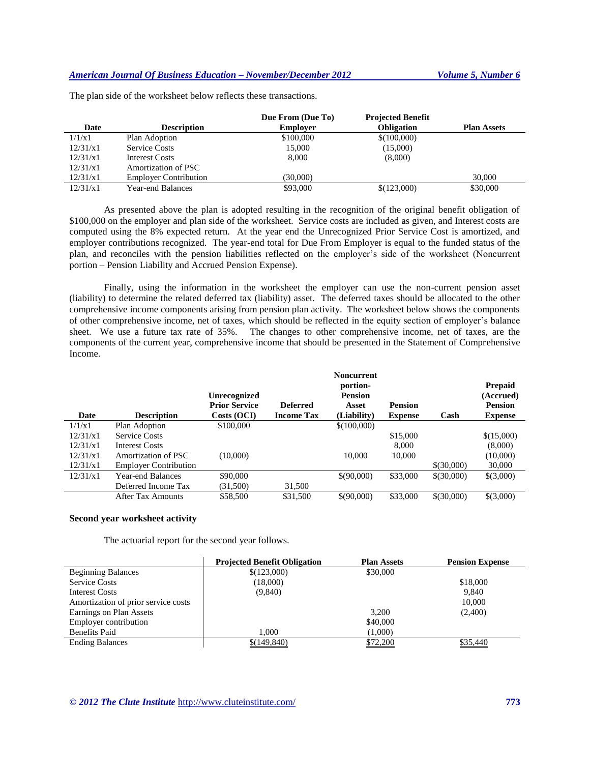|          |                              | Due From (Due To) | <b>Projected Benefit</b> |                    |
|----------|------------------------------|-------------------|--------------------------|--------------------|
| Date     | <b>Description</b>           | <b>Employer</b>   | <b>Obligation</b>        | <b>Plan Assets</b> |
| 1/1/x1   | Plan Adoption                | \$100,000         | \$(100,000)              |                    |
| 12/31/x1 | <b>Service Costs</b>         | 15,000            | (15,000)                 |                    |
| 12/31/x1 | Interest Costs               | 8.000             | (8,000)                  |                    |
| 12/31/x1 | Amortization of PSC          |                   |                          |                    |
| 12/31/x1 | <b>Employer Contribution</b> | (30,000)          |                          | 30,000             |
| 12/31/x1 | <b>Year-end Balances</b>     | \$93,000          | \$(123,000)              | \$30,000           |

The plan side of the worksheet below reflects these transactions.

As presented above the plan is adopted resulting in the recognition of the original benefit obligation of \$100,000 on the employer and plan side of the worksheet. Service costs are included as given, and Interest costs are computed using the 8% expected return. At the year end the Unrecognized Prior Service Cost is amortized, and employer contributions recognized. The year-end total for Due From Employer is equal to the funded status of the plan, and reconciles with the pension liabilities reflected on the employer's side of the worksheet (Noncurrent portion – Pension Liability and Accrued Pension Expense).

Finally, using the information in the worksheet the employer can use the non-current pension asset (liability) to determine the related deferred tax (liability) asset. The deferred taxes should be allocated to the other comprehensive income components arising from pension plan activity. The worksheet below shows the components of other comprehensive income, net of taxes, which should be reflected in the equity section of employer's balance sheet. We use a future tax rate of 35%. The changes to other comprehensive income, net of taxes, are the components of the current year, comprehensive income that should be presented in the Statement of Comprehensive Income.

| Date     | <b>Description</b>           | <b>Unrecognized</b><br><b>Prior Service</b><br>Costs (OCI) | <b>Deferred</b><br><b>Income Tax</b> | <b>Noncurrent</b><br>portion-<br><b>Pension</b><br>Asset<br>(Liability) | <b>Pension</b><br><b>Expense</b> | Cash       | <b>Prepaid</b><br>(Accrued)<br><b>Pension</b><br><b>Expense</b> |
|----------|------------------------------|------------------------------------------------------------|--------------------------------------|-------------------------------------------------------------------------|----------------------------------|------------|-----------------------------------------------------------------|
| 1/1/x1   | Plan Adoption                | \$100,000                                                  |                                      | \$(100,000)                                                             |                                  |            |                                                                 |
| 12/31/x1 | <b>Service Costs</b>         |                                                            |                                      |                                                                         | \$15,000                         |            | \$(15,000)                                                      |
| 12/31/x1 | <b>Interest Costs</b>        |                                                            |                                      |                                                                         | 8,000                            |            | (8,000)                                                         |
| 12/31/x1 | Amortization of PSC          | (10,000)                                                   |                                      | 10,000                                                                  | 10,000                           |            | (10,000)                                                        |
| 12/31/x1 | <b>Employer Contribution</b> |                                                            |                                      |                                                                         |                                  | \$(30,000) | 30,000                                                          |
| 12/31/x1 | Year-end Balances            | \$90,000                                                   |                                      | \$(90,000)                                                              | \$33,000                         | \$(30,000) | \$(3,000)                                                       |
|          | Deferred Income Tax          | (31,500)                                                   | 31,500                               |                                                                         |                                  |            |                                                                 |
|          | After Tax Amounts            | \$58,500                                                   | \$31,500                             | \$(90,000)                                                              | \$33,000                         | \$(30,000) | \$(3,000)                                                       |

# **Second year worksheet activity**

The actuarial report for the second year follows.

|                                     | <b>Projected Benefit Obligation</b> | <b>Plan Assets</b> | <b>Pension Expense</b> |
|-------------------------------------|-------------------------------------|--------------------|------------------------|
| <b>Beginning Balances</b>           | \$(123,000)                         | \$30,000           |                        |
| <b>Service Costs</b>                | (18,000)                            |                    | \$18,000               |
| Interest Costs                      | (9,840)                             |                    | 9.840                  |
| Amortization of prior service costs |                                     |                    | 10,000                 |
| Earnings on Plan Assets             |                                     | 3.200              | (2,400)                |
| <b>Employer contribution</b>        |                                     | \$40,000           |                        |
| <b>Benefits Paid</b>                | 1.000                               | (1,000)            |                        |
| <b>Ending Balances</b>              | \$(149,840)                         | \$72,200           | \$35,440               |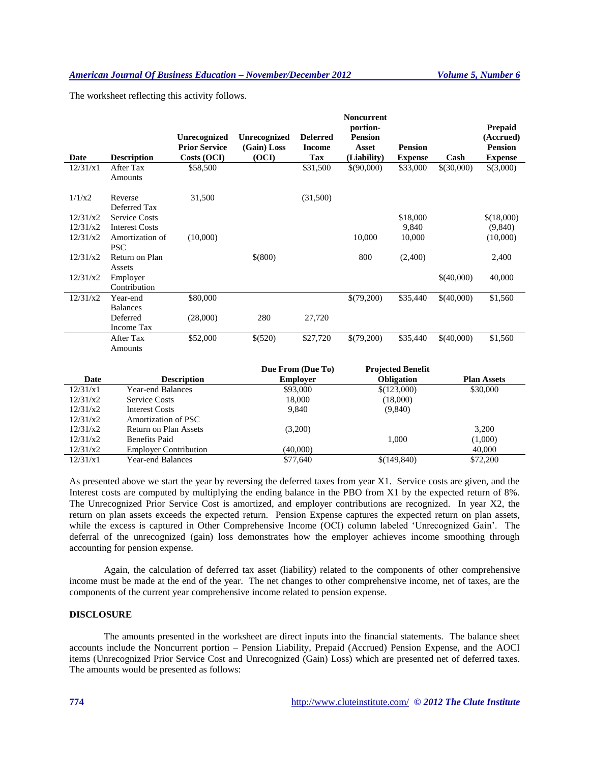The worksheet reflecting this activity follows.

|          |                               | <b>Unrecognized</b><br><b>Prior Service</b> | Unrecognized<br>(Gain) Loss | <b>Deferred</b><br><b>Income</b> | <b>Noncurrent</b><br>portion-<br><b>Pension</b><br>Asset | <b>Pension</b> |            | <b>Prepaid</b><br>(Accrued)<br><b>Pension</b> |
|----------|-------------------------------|---------------------------------------------|-----------------------------|----------------------------------|----------------------------------------------------------|----------------|------------|-----------------------------------------------|
| Date     | <b>Description</b>            | Costs (OCI)                                 | (OCI)                       | Tax                              | (Liability)                                              | <b>Expense</b> | Cash       | <b>Expense</b>                                |
| 12/31/x1 | After Tax<br>Amounts          | \$58,500                                    |                             | \$31,500                         | \$(90,000)                                               | \$33,000       | \$(30,000) | \$(3,000)                                     |
| 1/1/x2   | Reverse<br>Deferred Tax       | 31,500                                      |                             | (31,500)                         |                                                          |                |            |                                               |
| 12/31/x2 | <b>Service Costs</b>          |                                             |                             |                                  |                                                          | \$18,000       |            | \$(18,000)                                    |
| 12/31/x2 | <b>Interest Costs</b>         |                                             |                             |                                  |                                                          | 9,840          |            | (9,840)                                       |
| 12/31/x2 | Amortization of<br><b>PSC</b> | (10,000)                                    |                             |                                  | 10,000                                                   | 10,000         |            | (10,000)                                      |
| 12/31/x2 | Return on Plan                |                                             | \$(800)                     |                                  | 800                                                      | (2,400)        |            | 2,400                                         |
|          | Assets                        |                                             |                             |                                  |                                                          |                |            |                                               |
| 12/31/x2 | Employer                      |                                             |                             |                                  |                                                          |                | \$(40,000) | 40,000                                        |
|          | Contribution                  |                                             |                             |                                  |                                                          |                |            |                                               |
| 12/31/x2 | Year-end                      | \$80,000                                    |                             |                                  | \$(79,200)                                               | \$35,440       | \$(40,000) | \$1,560                                       |
|          | <b>Balances</b>               |                                             |                             |                                  |                                                          |                |            |                                               |
|          | Deferred                      | (28,000)                                    | 280                         | 27,720                           |                                                          |                |            |                                               |
|          | <b>Income Tax</b>             |                                             |                             |                                  |                                                          |                |            |                                               |
|          | After Tax                     | \$52,000                                    | \$(520)                     | \$27,720                         | \$(79,200)                                               | \$35,440       | \$(40,000) | \$1,560                                       |
|          | Amounts                       |                                             |                             |                                  |                                                          |                |            |                                               |

| Date     | <b>Description</b>           | Due From (Due To)<br><b>Employer</b> | <b>Projected Benefit</b><br><b>Obligation</b> | <b>Plan Assets</b> |
|----------|------------------------------|--------------------------------------|-----------------------------------------------|--------------------|
| 12/31/x1 | Year-end Balances            | \$93,000                             | \$(123,000)                                   | \$30,000           |
| 12/31/x2 | Service Costs                | 18,000                               | (18,000)                                      |                    |
| 12/31/x2 | Interest Costs               | 9.840                                | (9,840)                                       |                    |
| 12/31/x2 | Amortization of PSC          |                                      |                                               |                    |
| 12/31/x2 | Return on Plan Assets        | (3,200)                              |                                               | 3,200              |
| 12/31/x2 | <b>Benefits Paid</b>         |                                      | 1.000                                         | (1,000)            |
| 12/31/x2 | <b>Employer Contribution</b> | (40,000)                             |                                               | 40,000             |
| 12/31/x1 | Year-end Balances            | \$77,640                             | \$(149,840)                                   | \$72,200           |

As presented above we start the year by reversing the deferred taxes from year X1. Service costs are given, and the Interest costs are computed by multiplying the ending balance in the PBO from X1 by the expected return of 8%. The Unrecognized Prior Service Cost is amortized, and employer contributions are recognized. In year X2, the return on plan assets exceeds the expected return. Pension Expense captures the expected return on plan assets, while the excess is captured in Other Comprehensive Income (OCI) column labeled 'Unrecognized Gain'. The deferral of the unrecognized (gain) loss demonstrates how the employer achieves income smoothing through accounting for pension expense.

Again, the calculation of deferred tax asset (liability) related to the components of other comprehensive income must be made at the end of the year. The net changes to other comprehensive income, net of taxes, are the components of the current year comprehensive income related to pension expense.

# **DISCLOSURE**

The amounts presented in the worksheet are direct inputs into the financial statements. The balance sheet accounts include the Noncurrent portion – Pension Liability, Prepaid (Accrued) Pension Expense, and the AOCI items (Unrecognized Prior Service Cost and Unrecognized (Gain) Loss) which are presented net of deferred taxes. The amounts would be presented as follows: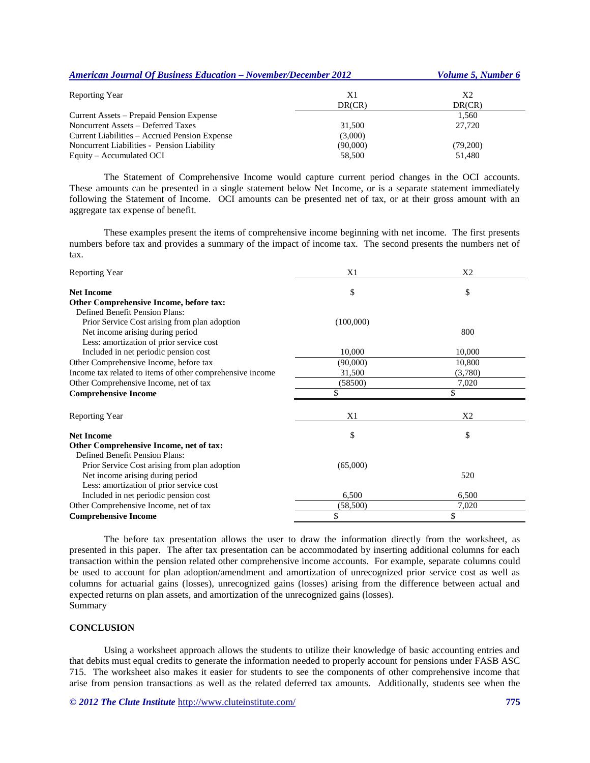| <b>American Journal Of Business Education – November/December 2012</b> |          | <i>Volume 5, Number 6</i> |  |
|------------------------------------------------------------------------|----------|---------------------------|--|
| <b>Reporting Year</b>                                                  | X1       | X <sub>2</sub>            |  |
|                                                                        | DR(CR)   | DR(CR)                    |  |
| Current Assets – Prepaid Pension Expense                               |          | 1,560                     |  |
| Noncurrent Assets – Deferred Taxes                                     | 31,500   | 27,720                    |  |
| Current Liabilities – Accrued Pension Expense                          | (3,000)  |                           |  |
| Noncurrent Liabilities - Pension Liability                             | (90,000) | (79,200)                  |  |
| Equity – Accumulated OCI                                               | 58,500   | 51,480                    |  |

The Statement of Comprehensive Income would capture current period changes in the OCI accounts. These amounts can be presented in a single statement below Net Income, or is a separate statement immediately following the Statement of Income. OCI amounts can be presented net of tax, or at their gross amount with an aggregate tax expense of benefit.

These examples present the items of comprehensive income beginning with net income. The first presents numbers before tax and provides a summary of the impact of income tax. The second presents the numbers net of tax.

| Reporting Year                                            | X1        | X <sub>2</sub> |
|-----------------------------------------------------------|-----------|----------------|
| <b>Net Income</b>                                         | \$        | \$             |
| Other Comprehensive Income, before tax:                   |           |                |
| Defined Benefit Pension Plans:                            |           |                |
| Prior Service Cost arising from plan adoption             | (100,000) |                |
| Net income arising during period                          |           | 800            |
| Less: amortization of prior service cost                  |           |                |
| Included in net periodic pension cost                     | 10,000    | 10,000         |
| Other Comprehensive Income, before tax                    | (90,000)  | 10,800         |
| Income tax related to items of other comprehensive income | 31,500    | (3,780)        |
| Other Comprehensive Income, net of tax                    | (58500)   | 7,020          |
| <b>Comprehensive Income</b>                               |           |                |
| <b>Reporting Year</b>                                     | X1        | X <sub>2</sub> |
| <b>Net Income</b>                                         | \$        | \$             |
| Other Comprehensive Income, net of tax:                   |           |                |
| Defined Benefit Pension Plans:                            |           |                |
| Prior Service Cost arising from plan adoption             | (65,000)  |                |
| Net income arising during period                          |           | 520            |
| Less: amortization of prior service cost                  |           |                |
| Included in net periodic pension cost                     | 6,500     | 6,500          |
| Other Comprehensive Income, net of tax                    | (58,500)  | 7,020          |
| <b>Comprehensive Income</b>                               |           | \$             |

The before tax presentation allows the user to draw the information directly from the worksheet, as presented in this paper. The after tax presentation can be accommodated by inserting additional columns for each transaction within the pension related other comprehensive income accounts. For example, separate columns could be used to account for plan adoption/amendment and amortization of unrecognized prior service cost as well as columns for actuarial gains (losses), unrecognized gains (losses) arising from the difference between actual and expected returns on plan assets, and amortization of the unrecognized gains (losses). Summary

#### **CONCLUSION**

Using a worksheet approach allows the students to utilize their knowledge of basic accounting entries and that debits must equal credits to generate the information needed to properly account for pensions under FASB ASC 715. The worksheet also makes it easier for students to see the components of other comprehensive income that arise from pension transactions as well as the related deferred tax amounts. Additionally, students see when the

## *© 2012 The Clute Institute* http://www.cluteinstitute.com/ **775**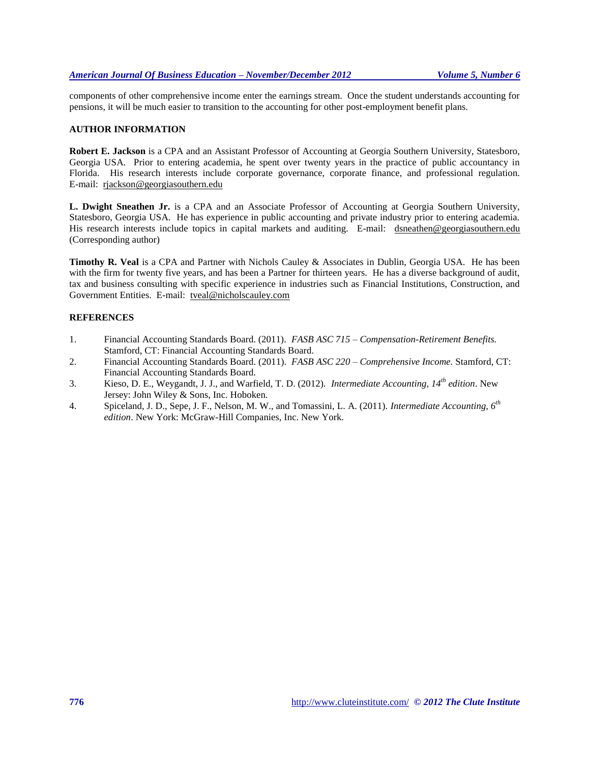### *American Journal Of Business Education – November/December 2012 Volume 5, Number 6*

components of other comprehensive income enter the earnings stream. Once the student understands accounting for pensions, it will be much easier to transition to the accounting for other post-employment benefit plans.

# **AUTHOR INFORMATION**

**Robert E. Jackson** is a CPA and an Assistant Professor of Accounting at Georgia Southern University, Statesboro, Georgia USA. Prior to entering academia, he spent over twenty years in the practice of public accountancy in Florida. His research interests include corporate governance, corporate finance, and professional regulation. E-mail: [rjackson@georgiasouthern.edu](mailto:rjackson@georgiasouthern.edu)

**L. Dwight Sneathen Jr.** is a CPA and an Associate Professor of Accounting at Georgia Southern University, Statesboro, Georgia USA. He has experience in public accounting and private industry prior to entering academia. His research interests include topics in capital markets and auditing. E-mail: [dsneathen@georgiasouthern.edu](mailto:dsneathen@georgiasouthern.edu) (Corresponding author)

**Timothy R. Veal** is a CPA and Partner with Nichols Cauley & Associates in Dublin, Georgia USA. He has been with the firm for twenty five years, and has been a Partner for thirteen years. He has a diverse background of audit, tax and business consulting with specific experience in industries such as Financial Institutions, Construction, and Government Entities. E-mail: [tveal@nicholscauley.com](mailto:tveal@nicholscauley.com)

# **REFERENCES**

- 1. Financial Accounting Standards Board. (2011). *FASB ASC 715 – Compensation-Retirement Benefits.* Stamford, CT: Financial Accounting Standards Board.
- 2. Financial Accounting Standards Board. (2011). *FASB ASC 220 – Comprehensive Income.* Stamford, CT: Financial Accounting Standards Board.
- 3. Kieso, D. E., Weygandt, J. J., and Warfield, T. D. (2012). *Intermediate Accounting, 14th edition*. New Jersey: John Wiley & Sons, Inc. Hoboken.
- 4. Spiceland, J. D., Sepe, J. F., Nelson, M. W., and Tomassini, L. A. (2011). *Intermediate Accounting, 6th edition*. New York: McGraw-Hill Companies, Inc. New York.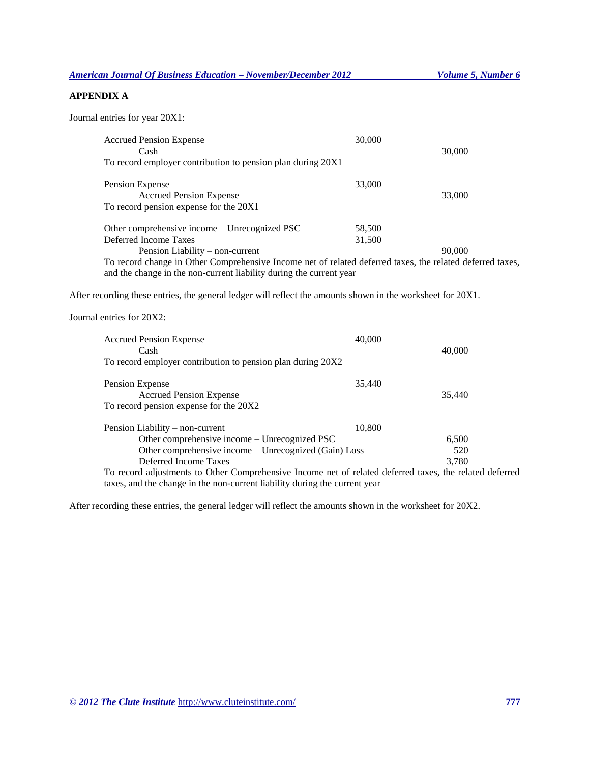*American Journal Of Business Education – November/December 2012 Volume 5, Number 6*

# **APPENDIX A**

Journal entries for year 20X1:

| <b>Accrued Pension Expense</b><br>Cash                                                                    | 30,000 | 30,000 |
|-----------------------------------------------------------------------------------------------------------|--------|--------|
| To record employer contribution to pension plan during 20X1                                               |        |        |
| Pension Expense<br><b>Accrued Pension Expense</b>                                                         | 33,000 | 33,000 |
| To record pension expense for the 20X1                                                                    |        |        |
| Other comprehensive income – Unrecognized PSC                                                             | 58,500 |        |
| Deferred Income Taxes                                                                                     | 31,500 |        |
| Pension Liability – non-current                                                                           |        | 90,000 |
| To record change in Other Comprehensive Income net of related deferred taxes, the related deferred taxes, |        |        |
| and the change in the non-current liability during the current year                                       |        |        |

After recording these entries, the general ledger will reflect the amounts shown in the worksheet for 20X1.

Journal entries for 20X2:

| <b>Accrued Pension Expense</b><br>Cash<br>To record employer contribution to pension plan during 20X2   | 40,000 | 40,000 |
|---------------------------------------------------------------------------------------------------------|--------|--------|
|                                                                                                         |        |        |
| Pension Expense                                                                                         | 35,440 |        |
| <b>Accrued Pension Expense</b>                                                                          |        | 35,440 |
| To record pension expense for the 20X2                                                                  |        |        |
| Pension Liability – non-current                                                                         | 10,800 |        |
| Other comprehensive income – Unrecognized PSC                                                           |        | 6,500  |
| Other comprehensive income – Unrecognized (Gain) Loss                                                   |        | 520    |
| Deferred Income Taxes                                                                                   |        | 3.780  |
| To record adjustments to Other Comprehensive Income net of related deferred taxes, the related deferred |        |        |
| taxes, and the change in the non-current liability during the current year                              |        |        |

After recording these entries, the general ledger will reflect the amounts shown in the worksheet for 20X2.